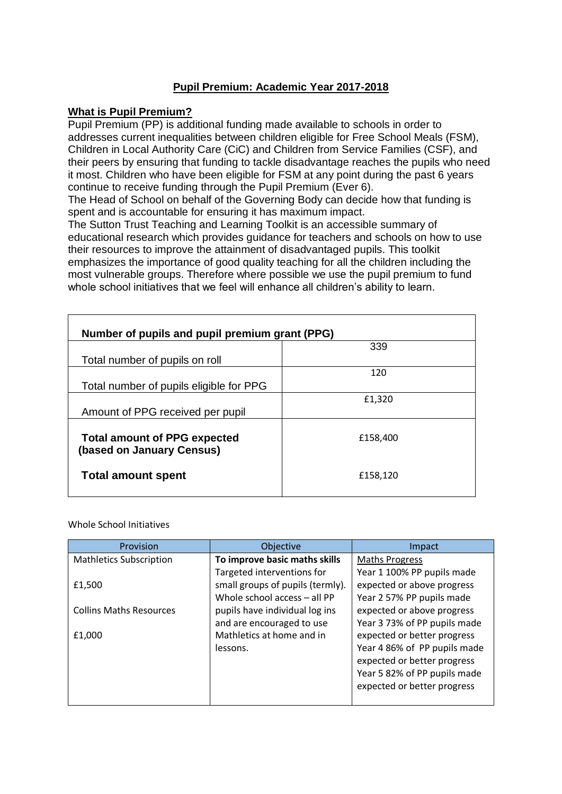# **Pupil Premium: Academic Year 2017-2018**

### **What is Pupil Premium?**

Pupil Premium (PP) is additional funding made available to schools in order to addresses current inequalities between children eligible for Free School Meals (FSM), Children in Local Authority Care (CiC) and Children from Service Families (CSF), and their peers by ensuring that funding to tackle disadvantage reaches the pupils who need it most. Children who have been eligible for FSM at any point during the past 6 years continue to receive funding through the Pupil Premium (Ever 6).

The Head of School on behalf of the Governing Body can decide how that funding is spent and is accountable for ensuring it has maximum impact.

The Sutton Trust Teaching and Learning Toolkit is an accessible summary of educational research which provides guidance for teachers and schools on how to use their resources to improve the attainment of disadvantaged pupils. This toolkit emphasizes the importance of good quality teaching for all the children including the most vulnerable groups. Therefore where possible we use the pupil premium to fund whole school initiatives that we feel will enhance all children's ability to learn.

| Number of pupils and pupil premium grant (PPG)                   |          |  |
|------------------------------------------------------------------|----------|--|
|                                                                  | 339      |  |
| Total number of pupils on roll                                   |          |  |
|                                                                  | 120      |  |
| Total number of pupils eligible for PPG                          |          |  |
|                                                                  | £1,320   |  |
| Amount of PPG received per pupil                                 |          |  |
| <b>Total amount of PPG expected</b><br>(based on January Census) | £158,400 |  |
| <b>Total amount spent</b>                                        | £158,120 |  |

### Whole School Initiatives

| Provision                      | Objective                        | Impact                       |
|--------------------------------|----------------------------------|------------------------------|
| <b>Mathletics Subscription</b> | To improve basic maths skills    | <b>Maths Progress</b>        |
|                                | Targeted interventions for       | Year 1 100% PP pupils made   |
| £1,500                         | small groups of pupils (termly). | expected or above progress   |
|                                | Whole school access - all PP     | Year 2 57% PP pupils made    |
| <b>Collins Maths Resources</b> | pupils have individual log ins   | expected or above progress   |
|                                | and are encouraged to use        | Year 3 73% of PP pupils made |
| £1,000                         | Mathletics at home and in        | expected or better progress  |
|                                | lessons.                         | Year 4 86% of PP pupils made |
|                                |                                  | expected or better progress  |
|                                |                                  | Year 5 82% of PP pupils made |
|                                |                                  | expected or better progress  |
|                                |                                  |                              |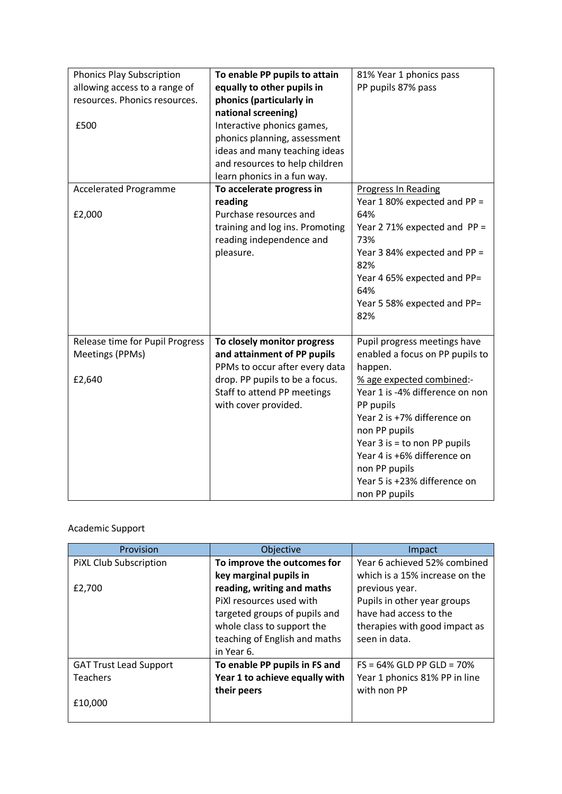| <b>Phonics Play Subscription</b><br>allowing access to a range of<br>resources. Phonics resources.<br>£500 | To enable PP pupils to attain<br>equally to other pupils in<br>phonics (particularly in<br>national screening)<br>Interactive phonics games,<br>phonics planning, assessment<br>ideas and many teaching ideas<br>and resources to help children<br>learn phonics in a fun way. | 81% Year 1 phonics pass<br>PP pupils 87% pass                                                                                                                                                                                                                                                                                              |
|------------------------------------------------------------------------------------------------------------|--------------------------------------------------------------------------------------------------------------------------------------------------------------------------------------------------------------------------------------------------------------------------------|--------------------------------------------------------------------------------------------------------------------------------------------------------------------------------------------------------------------------------------------------------------------------------------------------------------------------------------------|
| <b>Accelerated Programme</b><br>£2,000                                                                     | To accelerate progress in<br>reading<br>Purchase resources and<br>training and log ins. Promoting<br>reading independence and<br>pleasure.                                                                                                                                     | <b>Progress In Reading</b><br>Year 1 80% expected and PP =<br>64%<br>Year 2 71% expected and $PP =$<br>73%<br>Year 3 84% expected and PP =<br>82%<br>Year 4 65% expected and PP=<br>64%<br>Year 5 58% expected and PP=<br>82%                                                                                                              |
| Release time for Pupil Progress<br>Meetings (PPMs)<br>£2,640                                               | To closely monitor progress<br>and attainment of PP pupils<br>PPMs to occur after every data<br>drop. PP pupils to be a focus.<br>Staff to attend PP meetings<br>with cover provided.                                                                                          | Pupil progress meetings have<br>enabled a focus on PP pupils to<br>happen.<br>% age expected combined:-<br>Year 1 is -4% difference on non<br>PP pupils<br>Year 2 is +7% difference on<br>non PP pupils<br>Year $3$ is = to non PP pupils<br>Year 4 is +6% difference on<br>non PP pupils<br>Year 5 is +23% difference on<br>non PP pupils |

# Academic Support

| Provision                     | Objective                      | Impact                         |
|-------------------------------|--------------------------------|--------------------------------|
| PIXL Club Subscription        | To improve the outcomes for    | Year 6 achieved 52% combined   |
|                               | key marginal pupils in         | which is a 15% increase on the |
| £2,700                        | reading, writing and maths     | previous year.                 |
|                               | PiXI resources used with       | Pupils in other year groups    |
|                               | targeted groups of pupils and  | have had access to the         |
|                               | whole class to support the     | therapies with good impact as  |
|                               | teaching of English and maths  | seen in data.                  |
|                               | in Year 6.                     |                                |
| <b>GAT Trust Lead Support</b> | To enable PP pupils in FS and  | $FS = 64\%$ GLD PP GLD = 70%   |
| <b>Teachers</b>               | Year 1 to achieve equally with | Year 1 phonics 81% PP in line  |
|                               | their peers                    | with non PP                    |
| £10,000                       |                                |                                |
|                               |                                |                                |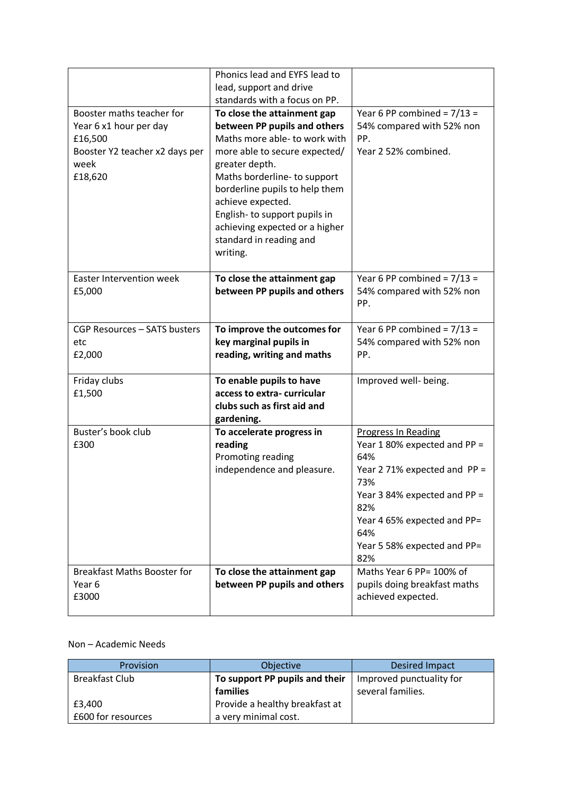|                                                                                                                     | Phonics lead and EYFS lead to                                                                                                                                                                                                                                                                                                                   |                                                                                                                                                                                                                             |
|---------------------------------------------------------------------------------------------------------------------|-------------------------------------------------------------------------------------------------------------------------------------------------------------------------------------------------------------------------------------------------------------------------------------------------------------------------------------------------|-----------------------------------------------------------------------------------------------------------------------------------------------------------------------------------------------------------------------------|
|                                                                                                                     | lead, support and drive                                                                                                                                                                                                                                                                                                                         |                                                                                                                                                                                                                             |
|                                                                                                                     | standards with a focus on PP.                                                                                                                                                                                                                                                                                                                   |                                                                                                                                                                                                                             |
| Booster maths teacher for<br>Year 6 x1 hour per day<br>£16,500<br>Booster Y2 teacher x2 days per<br>week<br>£18,620 | To close the attainment gap<br>between PP pupils and others<br>Maths more able- to work with<br>more able to secure expected/<br>greater depth.<br>Maths borderline- to support<br>borderline pupils to help them<br>achieve expected.<br>English-to support pupils in<br>achieving expected or a higher<br>standard in reading and<br>writing. | Year 6 PP combined = $7/13$ =<br>54% compared with 52% non<br>PP.<br>Year 2 52% combined.                                                                                                                                   |
| <b>Easter Intervention week</b><br>£5,000                                                                           | To close the attainment gap<br>between PP pupils and others                                                                                                                                                                                                                                                                                     | Year 6 PP combined = $7/13$ =<br>54% compared with 52% non<br>PP.                                                                                                                                                           |
| CGP Resources - SATS busters<br>etc<br>£2,000                                                                       | To improve the outcomes for<br>key marginal pupils in<br>reading, writing and maths                                                                                                                                                                                                                                                             | Year 6 PP combined = $7/13$ =<br>54% compared with 52% non<br>PP.                                                                                                                                                           |
| Friday clubs<br>£1,500                                                                                              | To enable pupils to have<br>access to extra-curricular<br>clubs such as first aid and<br>gardening.                                                                                                                                                                                                                                             | Improved well- being.                                                                                                                                                                                                       |
| Buster's book club<br>£300                                                                                          | To accelerate progress in<br>reading<br>Promoting reading<br>independence and pleasure.                                                                                                                                                                                                                                                         | <b>Progress In Reading</b><br>Year 1 80% expected and PP =<br>64%<br>Year 2 71% expected and PP =<br>73%<br>Year 3 84% expected and PP =<br>82%<br>Year 4 65% expected and PP=<br>64%<br>Year 5 58% expected and PP=<br>82% |
| <b>Breakfast Maths Booster for</b><br>Year 6<br>£3000                                                               | To close the attainment gap<br>between PP pupils and others                                                                                                                                                                                                                                                                                     | Maths Year 6 PP= 100% of<br>pupils doing breakfast maths<br>achieved expected.                                                                                                                                              |

### Non – Academic Needs

| Provision          | Objective                      | <b>Desired Impact</b>    |
|--------------------|--------------------------------|--------------------------|
| Breakfast Club     | To support PP pupils and their | Improved punctuality for |
|                    | families                       | several families.        |
| £3,400             | Provide a healthy breakfast at |                          |
| £600 for resources | a very minimal cost.           |                          |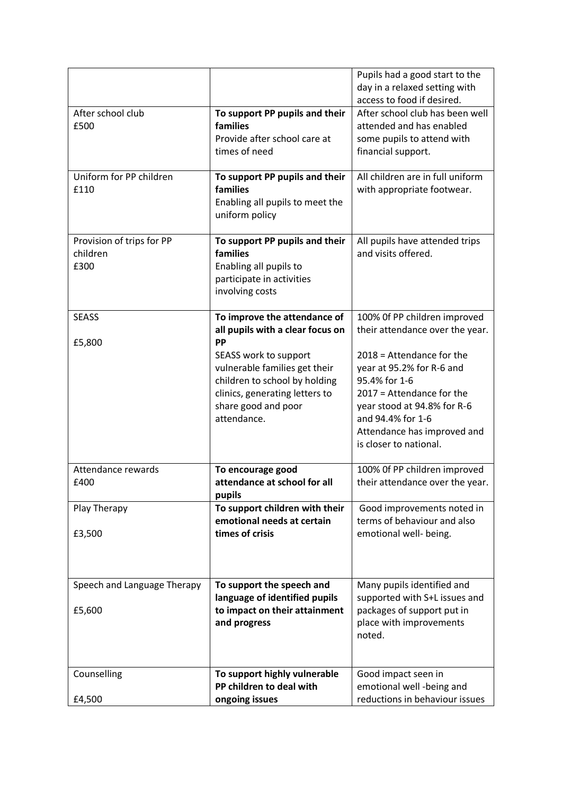|                             |                                  | Pupils had a good start to the<br>day in a relaxed setting with |
|-----------------------------|----------------------------------|-----------------------------------------------------------------|
|                             |                                  | access to food if desired.                                      |
| After school club           | To support PP pupils and their   | After school club has been well                                 |
| £500                        | families                         | attended and has enabled                                        |
|                             | Provide after school care at     | some pupils to attend with                                      |
|                             | times of need                    | financial support.                                              |
|                             |                                  |                                                                 |
| Uniform for PP children     | To support PP pupils and their   | All children are in full uniform                                |
| £110                        | families                         | with appropriate footwear.                                      |
|                             | Enabling all pupils to meet the  |                                                                 |
|                             | uniform policy                   |                                                                 |
|                             |                                  |                                                                 |
| Provision of trips for PP   | To support PP pupils and their   | All pupils have attended trips                                  |
| children                    | families                         | and visits offered.                                             |
| £300                        | Enabling all pupils to           |                                                                 |
|                             | participate in activities        |                                                                 |
|                             | involving costs                  |                                                                 |
|                             |                                  |                                                                 |
| <b>SEASS</b>                | To improve the attendance of     | 100% Of PP children improved                                    |
|                             | all pupils with a clear focus on | their attendance over the year.                                 |
| £5,800                      | PP                               |                                                                 |
|                             | SEASS work to support            | $2018$ = Attendance for the                                     |
|                             | vulnerable families get their    | year at 95.2% for R-6 and                                       |
|                             | children to school by holding    | 95.4% for 1-6                                                   |
|                             | clinics, generating letters to   | $2017$ = Attendance for the                                     |
|                             | share good and poor              | year stood at 94.8% for R-6                                     |
|                             | attendance.                      | and 94.4% for 1-6                                               |
|                             |                                  | Attendance has improved and<br>is closer to national.           |
|                             |                                  |                                                                 |
| Attendance rewards          | To encourage good                | 100% Of PP children improved                                    |
| £400                        | attendance at school for all     | their attendance over the year.                                 |
|                             | pupils                           |                                                                 |
| Play Therapy                | To support children with their   | Good improvements noted in                                      |
|                             | emotional needs at certain       | terms of behaviour and also                                     |
| £3,500                      | times of crisis                  | emotional well- being.                                          |
|                             |                                  |                                                                 |
|                             |                                  |                                                                 |
|                             |                                  |                                                                 |
| Speech and Language Therapy | To support the speech and        | Many pupils identified and                                      |
|                             | language of identified pupils    | supported with S+L issues and                                   |
| £5,600                      | to impact on their attainment    | packages of support put in                                      |
|                             | and progress                     | place with improvements<br>noted.                               |
|                             |                                  |                                                                 |
|                             |                                  |                                                                 |
| Counselling                 | To support highly vulnerable     | Good impact seen in                                             |
|                             | PP children to deal with         | emotional well -being and                                       |
| £4,500                      | ongoing issues                   | reductions in behaviour issues                                  |
|                             |                                  |                                                                 |